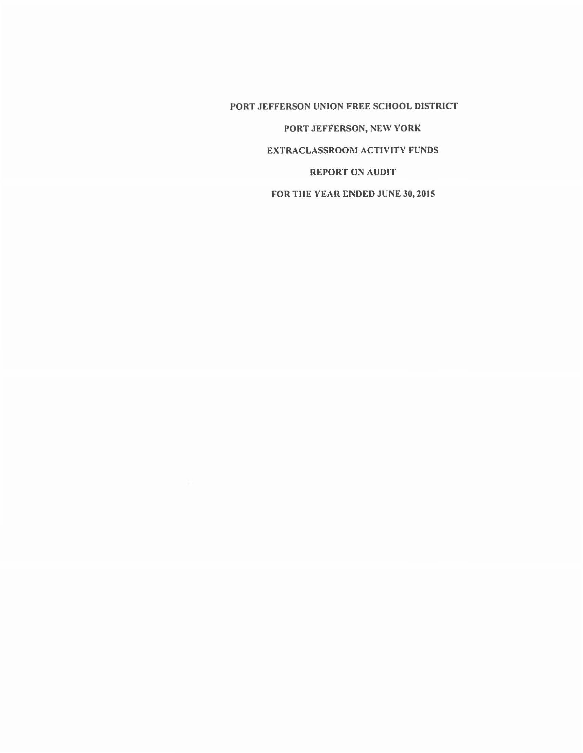PORT JEFFERSON UNION FREE SCHOOL DISTRICT PORT JEFFERSON, NEW YORK EXTRACLASSROOM ACTIVITY FUNDS REPORT ON AUDIT FOR THE VEAR ENDED JUNE 30, 2015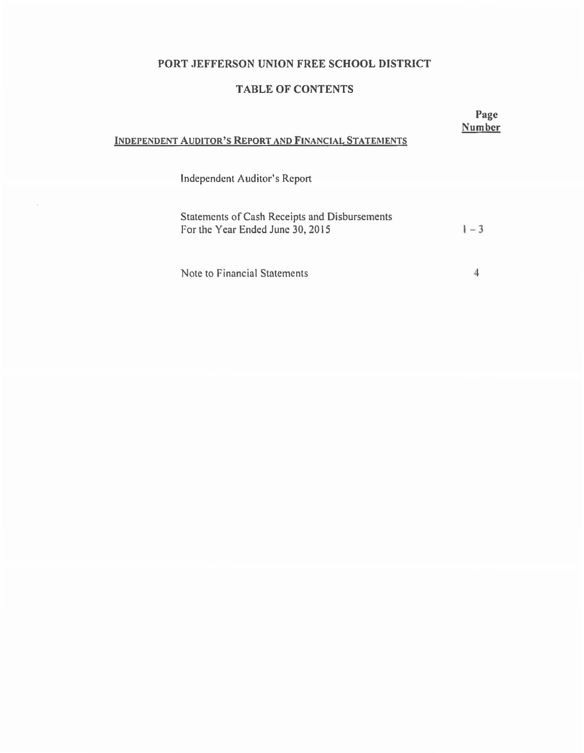# PORT JEFFERSON UNION FREE SCHOOL DISTRICT

# TABLE OF CONTENTS

# INDEPENDENT AUDITOR'S REPORT AND FINANCIAL STATEMENTS Independent Auditor's Report Statements of Cash Receipts and Disbursements For the Year Ended June 30, 2015 Note to Financial Statements Page Number  $1 - 3$ 4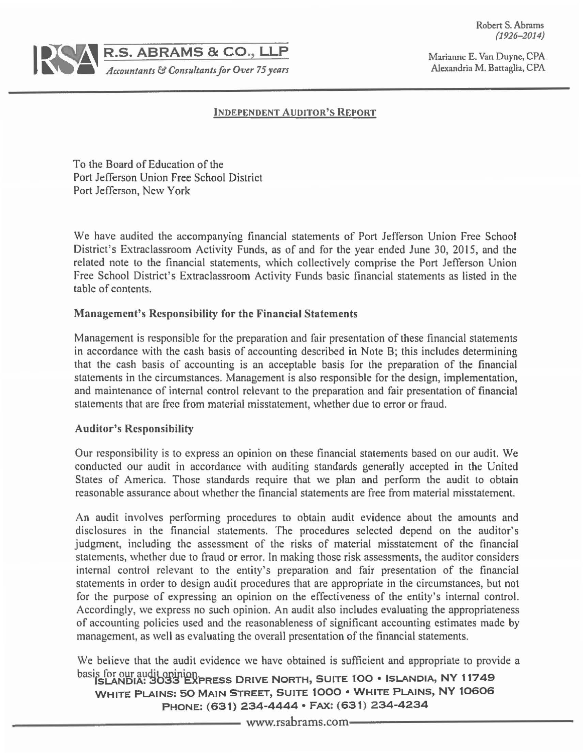Robert S. Abrams *(1926-2014)* 



 $R.S.$  ABRAMS & CO., LLP

**a.** *Accountants* & *Consultants for Over 75 years* 

Marianne E. Van Duyne, CPA Alexandria M. Battaglia, CPA

## INDEPENDENT AUDITOR'S REPORT

To the Board of Education of the Port Jefferson Union Free School District Port Jefferson, New York

We have audited the accompanying financial statements of Port Jefferson Union Free School District's Extraclassroom Activity Funds, as of and for the year ended June 30, 2015, and the related note to the financial statements, which collectively comprise the Port Jefferson Union Free School District's Extraclassroom Activity Funds basic financial statements as listed in the table of contents.

# Management's Responsibility for the Financial Statements

Management is responsible for the preparation and fair presentation of these financial statements in accordance with the cash basis of accounting described in Note B; this includes determining that the cash basis of accounting is an acceptable basis for the preparation of the financial statements in the circumstances. Management is also responsible for the design, implementation, and maintenance of internal control relevant to the preparation and fair presentation of financial statements that are free from material misstatement, whether due to error or fraud.

## Auditor's Responsibility

Our responsibility is to express an opinion on these financial statements based on our audit. We conducted our audit in accordance with auditing standards generally accepted in the United States of America. Those standards require that we plan and perform the audit to obtain reasonable assurance about whether the financial statements are free from material misstatement.

An audit involves performing procedures to obtain audit evidence about the amounts and disclosures in the financial statements. The procedures selected depend on the auditor's judgment, including the assessment of the risks of material misstatement of the financial statements, whether due to fraud or error. In making those risk assessments, the auditor considers internal control relevant to the entity's preparation and fair presentation of the financial statements in order to design audit procedures that are appropriate in the circumstances, but not for the purpose of expressing an opinion on the effectiveness of the entity's internal control. Accordingly, we express no such opinion. An audit also includes evaluating the appropriateness of accounting policies used and the reasonableness of significant accounting estimates made by management, as well as evaluating the overall presentation of the financial statements.

We believe that the audit evidence we have obtained is sufficient and appropriate to provide a

basis for our audit opinion.<br>ISLANDIA: 3033 EXPRESS DRIVE NORTH, SUITE 100 · ISLANDIA, NY 11749 WHITE PLAINS: 50 MAIN STREET, SUITE 1000 · WHITE PLAINS, NY 10606 PHONE: (631) 234-4444 •FAX: ( 631) 234-4234 ------------------ www.rsabrams.com------------------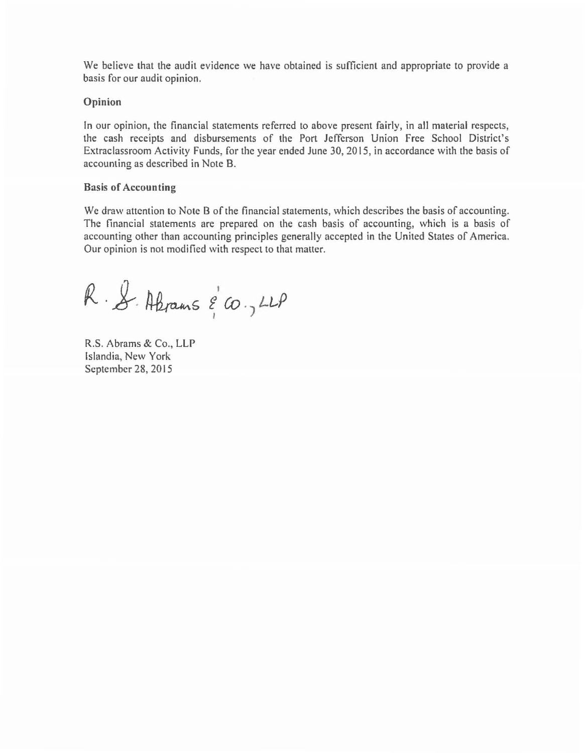We believe that the audit evidence we have obtained is sufficient and appropriate to provide a basis for our audit opinion.

## Opinion

In our opinion, the financial statements referred to above present fairly, in all material respects, the cash receipts and disbursements of the Port Jefferson Union Free School District's Extraclassroom Activity Funds, for the year ended June 30, 2015, in accordance with the basis of accounting as described in Note B.

#### Basis of Accounting

We draw attention to Note B of the financial statements, which describes the basis of accounting. The financial statements are prepared on the cash basis of accounting, which is a basis of accounting other than accounting principles generally accepted in the United States of America. Our opinion is not modified with respect to that matter.

 $R.8.$  Alexans  $80.740$ 

R.S. Abrams & Co., LLP Islandia, New York September 28, 2015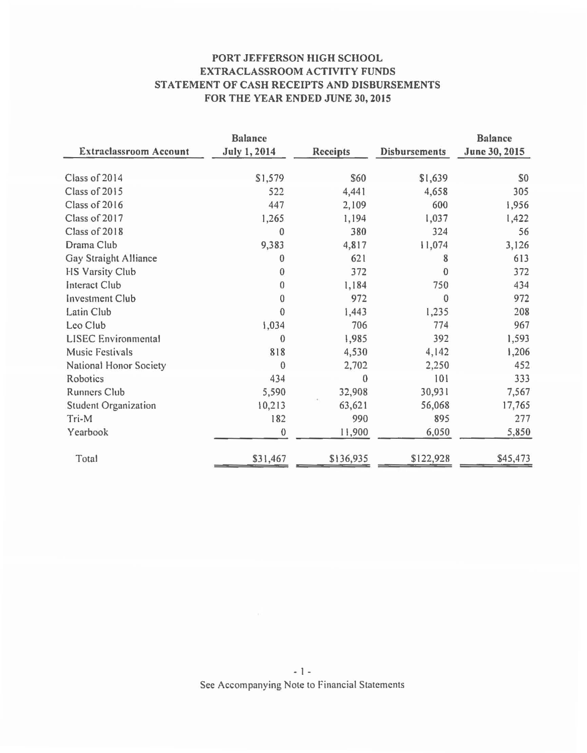# PORT JEFFERSON HIGH SCHOOL EXTRACLASSROOM ACTIVITY FUNDS STATEMENT OF CASH RECEIPTS AND DISBURSEMENTS FOR THE YEAR ENDED JUNE 30, 2015

| <b>Extraclassroom Account</b> | <b>Balance</b><br><b>July 1, 2014</b> | <b>Receipts</b> | <b>Disbursements</b> | <b>Balance</b><br>June 30, 2015 |
|-------------------------------|---------------------------------------|-----------------|----------------------|---------------------------------|
| Class of 2014                 | \$1,579                               | \$60            | \$1,639              | \$0                             |
| Class of 2015                 | 522                                   | 4,441           | 4,658                | 305                             |
| Class of 2016                 | 447                                   | 2,109           | 600                  | 1,956                           |
| Class of 2017                 | 1,265                                 | 1,194           | 1,037                | 1,422                           |
| Class of 2018                 | $\theta$                              | 380             | 324                  | 56                              |
| Drama Club                    | 9,383                                 | 4,817           | 11,074               | 3,126                           |
| Gay Straight Alliance         | 0                                     | 621             | 8                    | 613                             |
| HS Varsity Club               | 0                                     | 372             | $\Omega$             | 372                             |
| <b>Interact Club</b>          | 0                                     | 1,184           | 750                  | 434                             |
| <b>Investment Club</b>        | 0                                     | 972             | 0                    | 972                             |
| Latin Club                    | 0                                     | 1,443           | 1,235                | 208                             |
| Leo Club                      | 1,034                                 | 706             | 774                  | 967                             |
| <b>LISEC</b> Environmental    | $\theta$                              | 1,985           | 392                  | 1,593                           |
| <b>Music Festivals</b>        | 818                                   | 4,530           | 4,142                | 1,206                           |
| National Honor Society        | 0                                     | 2,702           | 2,250                | 452                             |
| Robotics                      | 434                                   | $\Omega$        | 101                  | 333                             |
| <b>Runners Club</b>           | 5,590                                 | 32,908          | 30,931               | 7,567                           |
| <b>Student Organization</b>   | 10,213                                | 63,621          | 56,068               | 17,765                          |
| Tri-M                         | 182                                   | 990             | 895                  | 277                             |
| Yearbook                      | 0                                     | 11,900          | 6,050                | 5,850                           |
| Total                         | \$31,467                              | \$136,935       | \$122,928            | \$45,473                        |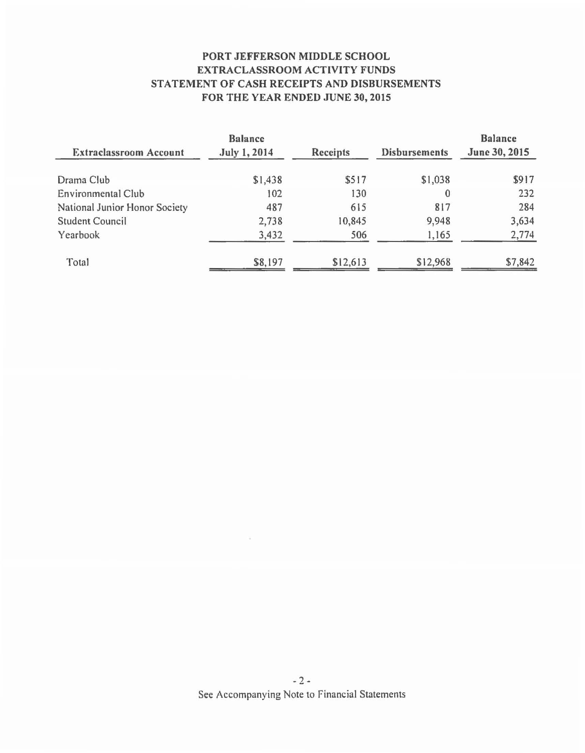# PORT JEFFERSON MIDDLE SCHOOL EXTRACLASSROOM ACTIVITY FUNDS STATEMENT OF CASH RECEIPTS AND DISBURSEMENTS FOR THE YEAR ENDED JUNE 30, 2015

|                               | <b>Balance</b> |                 |                      | <b>Balance</b> |
|-------------------------------|----------------|-----------------|----------------------|----------------|
| <b>Extraclassroom Account</b> | July 1, 2014   | <b>Receipts</b> | <b>Disbursements</b> | June 30, 2015  |
| Drama Club                    | \$1,438        | \$517           | \$1,038              | \$917          |
| Environmental Club            | 102            | 130             | $\theta$             | 232            |
| National Junior Honor Society | 487            | 615             | 817                  | 284            |
| Student Council               | 2,738          | 10,845          | 9,948                | 3,634          |
| Yearbook                      | 3,432          | 506             | 1,165                | 2,774          |
| Total                         | \$8,197        | \$12,613        | \$12,968             | \$7,842        |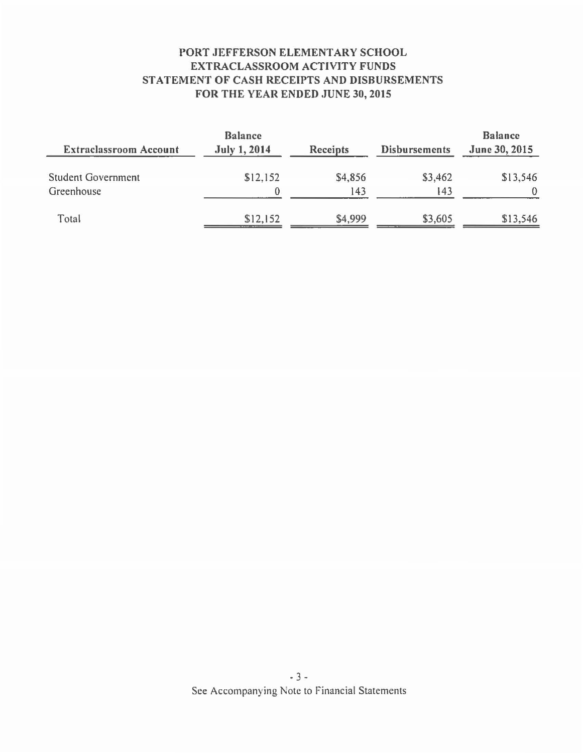# PORT JEFFERSON ELEMENTARY SCHOOL EXTRACLASSROOM ACTIVITY FUNDS STATEMENT OF CASH RECEIPTS AND DISBURSEMENTS FOR THE YEAR ENDED JUNE 30, 2015

| <b>Extraclassroom Account</b> | Balance             | <b>Receipts</b> | <b>Disbursements</b> | <b>Balance</b><br>June 30, 2015 |
|-------------------------------|---------------------|-----------------|----------------------|---------------------------------|
|                               | <b>July 1, 2014</b> |                 |                      |                                 |
| Student Government            | \$12,152            | \$4,856         | \$3,462              | \$13,546                        |
| Greenhouse                    |                     | 143             | 143                  | 0                               |
|                               |                     |                 |                      |                                 |
| Total                         | \$12,152            | \$4,999         | \$3,605              | \$13,546                        |